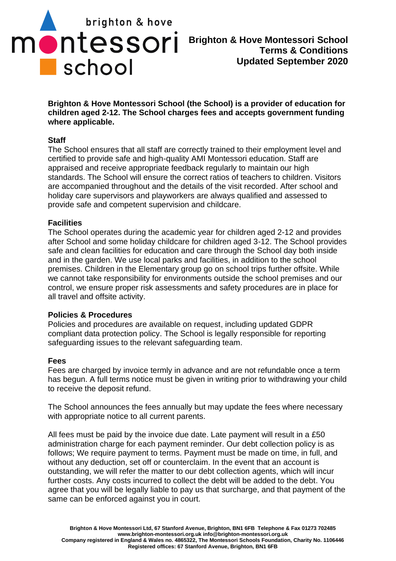

**Brighton & Hove Montessori School (the School) is a provider of education for children aged 2-12. The School charges fees and accepts government funding where applicable.** 

# **Staff**

The School ensures that all staff are correctly trained to their employment level and certified to provide safe and high-quality AMI Montessori education. Staff are appraised and receive appropriate feedback regularly to maintain our high standards. The School will ensure the correct ratios of teachers to children. Visitors are accompanied throughout and the details of the visit recorded. After school and holiday care supervisors and playworkers are always qualified and assessed to provide safe and competent supervision and childcare.

# **Facilities**

The School operates during the academic year for children aged 2-12 and provides after School and some holiday childcare for children aged 3-12. The School provides safe and clean facilities for education and care through the School day both inside and in the garden. We use local parks and facilities, in addition to the school premises. Children in the Elementary group go on school trips further offsite. While we cannot take responsibility for environments outside the school premises and our control, we ensure proper risk assessments and safety procedures are in place for all travel and offsite activity.

## **Policies & Procedures**

Policies and procedures are available on request, including updated GDPR compliant data protection policy. The School is legally responsible for reporting safeguarding issues to the relevant safeguarding team.

## **Fees**

Fees are charged by invoice termly in advance and are not refundable once a term has begun. A full terms notice must be given in writing prior to withdrawing your child to receive the deposit refund.

The School announces the fees annually but may update the fees where necessary with appropriate notice to all current parents.

All fees must be paid by the invoice due date. Late payment will result in a £50 administration charge for each payment reminder. Our debt collection policy is as follows; We require payment to terms. Payment must be made on time, in full, and without any deduction, set off or counterclaim. In the event that an account is outstanding, we will refer the matter to our debt collection agents, which will incur further costs. Any costs incurred to collect the debt will be added to the debt. You agree that you will be legally liable to pay us that surcharge, and that payment of the same can be enforced against you in court.